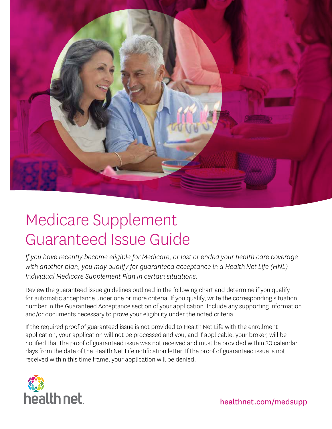

# Medicare Supplement Guaranteed Issue Guide

*If you have recently become eligible for Medicare, or lost or ended your health care coverage with another plan, you may qualify for guaranteed acceptance in a Health Net Life (HNL) Individual Medicare Supplement Plan in certain situations.*

Review the guaranteed issue guidelines outlined in the following chart and determine if you qualify for automatic acceptance under one or more criteria. If you qualify, write the corresponding situation number in the Guaranteed Acceptance section of your application. Include any supporting information and/or documents necessary to prove your eligibility under the noted criteria.

If the required proof of guaranteed issue is not provided to Health Net Life with the enrollment application, your application will not be processed and you, and if applicable, your broker, will be notified that the proof of guaranteed issue was not received and must be provided within 30 calendar days from the date of the Health Net Life notification letter. If the proof of guaranteed issue is not received within this time frame, your application will be denied.



healthnet.com/medsupp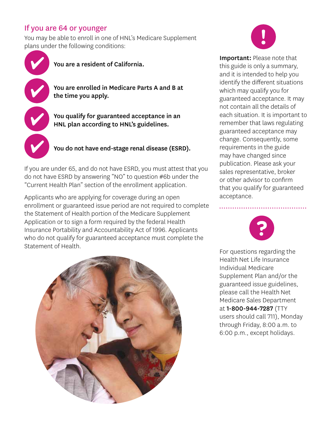# If you are 64 or younger

You may be able to enroll in one of HNL's Medicare Supplement plans under the following conditions:



"Current Health Plan" section of the enrollment application.

Applicants who are applying for coverage during an open enrollment or guaranteed issue period are not required to complete the Statement of Health portion of the Medicare Supplement Application or to sign a form required by the federal Health Insurance Portability and Accountability Act of 1996. Applicants who do not qualify for guaranteed acceptance must complete the Statement of Health.





Important: Please note that this guide is only a summary, and it is intended to help you identify the different situations which may qualify you for guaranteed acceptance. It may not contain all the details of each situation. It is important to remember that laws regulating guaranteed acceptance may change. Consequently, some requirements in the guide may have changed since publication. Please ask your sales representative, broker or other advisor to confirm that you qualify for guaranteed acceptance.



For questions regarding the Health Net Life Insurance Individual Medicare Supplement Plan and/or the guaranteed issue guidelines, please call the Health Net Medicare Sales Department at 1-800-944-7287 (TTY users should call 711), Monday through Friday, 8:00 a.m. to 6:00 p.m., except holidays.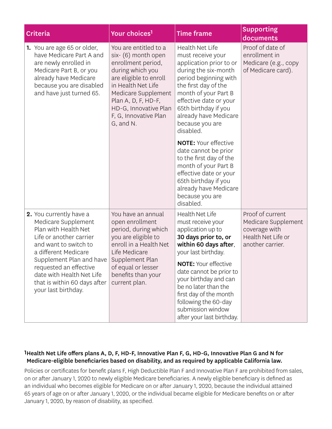|  | <b>Criteria</b>                                                                                                                                                                                     | Your choices <sup>1</sup>                                                                                                                                                                                                                           | <b>Time frame</b>                                                                                                                                                                                                                                                           | <b>Supporting</b><br>documents                                                                     |
|--|-----------------------------------------------------------------------------------------------------------------------------------------------------------------------------------------------------|-----------------------------------------------------------------------------------------------------------------------------------------------------------------------------------------------------------------------------------------------------|-----------------------------------------------------------------------------------------------------------------------------------------------------------------------------------------------------------------------------------------------------------------------------|----------------------------------------------------------------------------------------------------|
|  | <b>1.</b> You are age 65 or older,<br>have Medicare Part A and<br>are newly enrolled in<br>Medicare Part B, or you<br>already have Medicare<br>because you are disabled<br>and have just turned 65. | You are entitled to a<br>six- (6) month open<br>enrollment period,<br>during which you<br>are eligible to enroll<br>in Health Net Life<br>Medicare Supplement<br>Plan A, D, F, HD-F,<br>HD-G, Innovative Plan<br>F, G, Innovative Plan<br>G, and N. | Health Net Life<br>must receive your<br>application prior to or<br>during the six-month<br>period beginning with<br>the first day of the<br>month of your Part B<br>effective date or your<br>65th birthday if you<br>already have Medicare<br>because you are<br>disabled. | Proof of date of<br>enrollment in<br>Medicare (e.g., copy<br>of Medicare card).                    |
|  |                                                                                                                                                                                                     |                                                                                                                                                                                                                                                     | <b>NOTE: Your effective</b><br>date cannot be prior<br>to the first day of the<br>month of your Part B<br>effective date or your<br>65th birthday if you<br>already have Medicare<br>because you are<br>disabled.                                                           |                                                                                                    |
|  | 2. You currently have a<br>Medicare Supplement<br>Plan with Health Net<br>Life or another carrier<br>and want to switch to<br>a different Medicare                                                  | You have an annual<br>open enrollment<br>period, during which<br>you are eligible to<br>enroll in a Health Net<br>Life Medicare                                                                                                                     | <b>Health Net Life</b><br>must receive your<br>application up to<br>30 days prior to, or<br>within 60 days after,<br>your last birthday.                                                                                                                                    | Proof of current<br>Medicare Supplement<br>coverage with<br>Health Net Life or<br>another carrier. |
|  | Supplement Plan and have<br>requested an effective<br>date with Health Net Life<br>that is within 60 days after<br>your last birthday.                                                              | Supplement Plan<br>of equal or lesser<br>benefits than your<br>current plan.                                                                                                                                                                        | <b>NOTE: Your effective</b><br>date cannot be prior to<br>your birthday and can<br>be no later than the<br>first day of the month<br>following the 60-day<br>submission window<br>after your last birthday.                                                                 |                                                                                                    |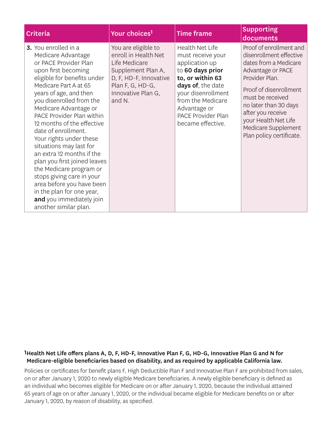| <b>Criteria</b>                                                                                                                                                                                                                                                                                                                                                                                                                                                                                                                                                                                               | Your choices <sup>1</sup>                                                                                                                                        | <b>Time frame</b>                                                                                                                                                                                                                | <b>Supporting</b><br>documents                                                                                                                                                                                                                                                            |
|---------------------------------------------------------------------------------------------------------------------------------------------------------------------------------------------------------------------------------------------------------------------------------------------------------------------------------------------------------------------------------------------------------------------------------------------------------------------------------------------------------------------------------------------------------------------------------------------------------------|------------------------------------------------------------------------------------------------------------------------------------------------------------------|----------------------------------------------------------------------------------------------------------------------------------------------------------------------------------------------------------------------------------|-------------------------------------------------------------------------------------------------------------------------------------------------------------------------------------------------------------------------------------------------------------------------------------------|
| 3. You enrolled in a<br>Medicare Advantage<br>or PACE Provider Plan<br>upon first becoming<br>eligible for benefits under<br>Medicare Part A at 65<br>years of age, and then<br>you disenrolled from the<br>Medicare Advantage or<br>PACE Provider Plan within<br>12 months of the effective<br>date of enrollment.<br>Your rights under these<br>situations may last for<br>an extra 12 months if the<br>plan you first joined leaves<br>the Medicare program or<br>stops giving care in your<br>area before you have been<br>in the plan for one year,<br>and you immediately join<br>another similar plan. | You are eligible to<br>enroll in Health Net<br>Life Medicare<br>Supplement Plan A,<br>D, F, HD-F, Innovative<br>Plan F, G, HD-G,<br>Innovative Plan G,<br>and N. | <b>Health Net Life</b><br>must receive your<br>application up<br>to 60 days prior<br>to, or within 63<br>days of, the date<br>your disenrollment<br>from the Medicare<br>Advantage or<br>PACE Provider Plan<br>became effective. | Proof of enrollment and<br>disenrollment effective<br>dates from a Medicare<br>Advantage or PACE<br>Provider Plan.<br>Proof of disenrollment<br>must be received<br>no later than 30 days<br>after you receive<br>your Health Net Life<br>Medicare Supplement<br>Plan policy certificate. |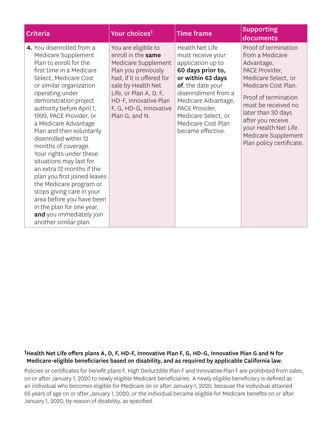| <b>Criteria</b>                                                                                                                                                                                                                                                                                                                                                                                                                                                                                                                                                                                                                                               | Your choices <sup>1</sup>                                                                                                                                                                                                                 | <b>Time frame</b>                                                                                                                                                                                                                                           | <b>Supporting</b><br>documents                                                                                                                                                                                                                                                             |
|---------------------------------------------------------------------------------------------------------------------------------------------------------------------------------------------------------------------------------------------------------------------------------------------------------------------------------------------------------------------------------------------------------------------------------------------------------------------------------------------------------------------------------------------------------------------------------------------------------------------------------------------------------------|-------------------------------------------------------------------------------------------------------------------------------------------------------------------------------------------------------------------------------------------|-------------------------------------------------------------------------------------------------------------------------------------------------------------------------------------------------------------------------------------------------------------|--------------------------------------------------------------------------------------------------------------------------------------------------------------------------------------------------------------------------------------------------------------------------------------------|
| 4. You disenrolled from a<br>Medicare Supplement<br>Plan to enroll for the<br>first time in a Medicare<br>Select, Medicare Cost<br>or similar organization<br>operating under<br>demonstration project<br>authority before April 1,<br>1999, PACE Provider, or<br>a Medicare Advantage<br>Plan and then voluntarily<br>disenrolled within 12<br>months of coverage.<br>Your rights under these<br>situations may last for<br>an extra 12 months if the<br>plan you first joined leaves<br>the Medicare program or<br>stops giving care in your<br>area before you have been<br>in the plan for one year,<br>and you immediately join<br>another similar plan. | You are eligible to<br>enroll in the same<br>Medicare Supplement<br>Plan you previously<br>had, if it is offered for<br>sale by Health Net<br>Life, or Plan A, D, F,<br>HD-F, Innovative Plan<br>F, G, HD-G, Innovative<br>Plan G, and N. | Health Net Life<br>must receive your<br>application up to<br>60 days prior to,<br>or within 63 days<br>of, the date your<br>disenrollment from a<br>Medicare Advantage,<br>PACE Provider,<br>Medicare Select, or<br>Medicare Cost Plan<br>became effective. | Proof of termination<br>from a Medicare<br>Advantage,<br>PACE Provider,<br>Medicare Select, or<br>Medicare Cost Plan.<br>Proof of termination<br>must be received no<br>later than 30 days<br>after you receive<br>your Health Net Life<br>Medicare Supplement<br>Plan policy certificate. |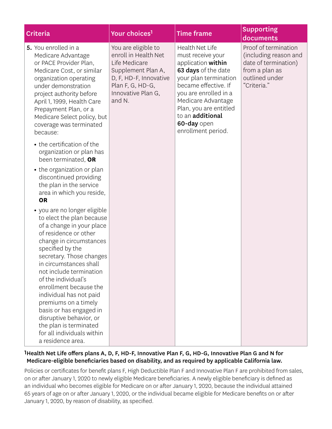| <b>Criteria</b>                                                                                                                                                                                                                                                                                                                                                                                                                     | Your choices <sup>1</sup>                                                                                                                                        | <b>Time frame</b>                                                                                                                                                                                                                                                    | <b>Supporting</b><br>documents                                                                                           |
|-------------------------------------------------------------------------------------------------------------------------------------------------------------------------------------------------------------------------------------------------------------------------------------------------------------------------------------------------------------------------------------------------------------------------------------|------------------------------------------------------------------------------------------------------------------------------------------------------------------|----------------------------------------------------------------------------------------------------------------------------------------------------------------------------------------------------------------------------------------------------------------------|--------------------------------------------------------------------------------------------------------------------------|
| 5. You enrolled in a<br>Medicare Advantage<br>or PACE Provider Plan,<br>Medicare Cost, or similar<br>organization operating<br>under demonstration<br>project authority before<br>April 1, 1999, Health Care<br>Prepayment Plan, or a<br>Medicare Select policy, but<br>coverage was terminated<br>because:                                                                                                                         | You are eligible to<br>enroll in Health Net<br>Life Medicare<br>Supplement Plan A,<br>D, F, HD-F, Innovative<br>Plan F, G, HD-G,<br>Innovative Plan G,<br>and N. | Health Net Life<br>must receive your<br>application within<br>63 days of the date<br>your plan termination<br>became effective. If<br>you are enrolled in a<br>Medicare Advantage<br>Plan, you are entitled<br>to an additional<br>60-day open<br>enrollment period. | Proof of termination<br>(including reason and<br>date of termination)<br>from a plan as<br>outlined under<br>"Criteria." |
| • the certification of the<br>organization or plan has<br>been terminated, OR                                                                                                                                                                                                                                                                                                                                                       |                                                                                                                                                                  |                                                                                                                                                                                                                                                                      |                                                                                                                          |
| • the organization or plan<br>discontinued providing<br>the plan in the service<br>area in which you reside,                                                                                                                                                                                                                                                                                                                        |                                                                                                                                                                  |                                                                                                                                                                                                                                                                      |                                                                                                                          |
| <b>OR</b>                                                                                                                                                                                                                                                                                                                                                                                                                           |                                                                                                                                                                  |                                                                                                                                                                                                                                                                      |                                                                                                                          |
| • you are no longer eligible<br>to elect the plan because<br>of a change in your place<br>of residence or other<br>change in circumstances<br>specified by the<br>secretary. Those changes<br>in circumstances shall<br>not include termination<br>of the individual's<br>enrollment because the<br>individual has not paid<br>premiums on a timely<br>basis or has engaged in<br>disruptive behavior, or<br>the plan is terminated |                                                                                                                                                                  |                                                                                                                                                                                                                                                                      |                                                                                                                          |
| for all individuals within<br>a residence area.                                                                                                                                                                                                                                                                                                                                                                                     |                                                                                                                                                                  |                                                                                                                                                                                                                                                                      |                                                                                                                          |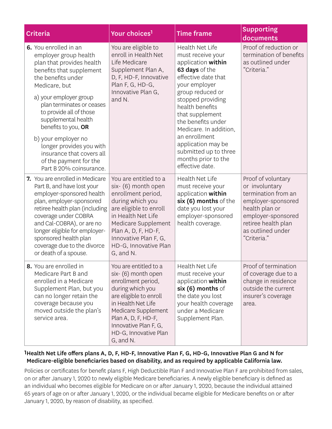| <b>Criteria</b>                                                                                                                                                                                                                                                                                                                                                                                                     | Your choices <sup>1</sup>                                                                                                                                                                                                                           | <b>Time frame</b>                                                                                                                                                                                                                                                                                                                                             | <b>Supporting</b><br>documents                                                                                                                                                       |
|---------------------------------------------------------------------------------------------------------------------------------------------------------------------------------------------------------------------------------------------------------------------------------------------------------------------------------------------------------------------------------------------------------------------|-----------------------------------------------------------------------------------------------------------------------------------------------------------------------------------------------------------------------------------------------------|---------------------------------------------------------------------------------------------------------------------------------------------------------------------------------------------------------------------------------------------------------------------------------------------------------------------------------------------------------------|--------------------------------------------------------------------------------------------------------------------------------------------------------------------------------------|
| 6. You enrolled in an<br>employer group health<br>plan that provides health<br>benefits that supplement<br>the benefits under<br>Medicare, but<br>a) your employer group<br>plan terminates or ceases<br>to provide all of those<br>supplemental health<br>benefits to you, OR<br>b) your employer no<br>longer provides you with<br>insurance that covers all<br>of the payment for the<br>Part B 20% coinsurance. | You are eligible to<br>enroll in Health Net<br>Life Medicare<br>Supplement Plan A,<br>D, F, HD-F, Innovative<br>Plan F, G, HD-G,<br>Innovative Plan G,<br>and N.                                                                                    | Health Net Life<br>must receive your<br>application within<br>63 days of the<br>effective date that<br>your employer<br>group reduced or<br>stopped providing<br>health benefits<br>that supplement<br>the benefits under<br>Medicare. In addition,<br>an enrollment<br>application may be<br>submitted up to three<br>months prior to the<br>effective date. | Proof of reduction or<br>termination of benefits<br>as outlined under<br>"Criteria."                                                                                                 |
| 7. You are enrolled in Medicare<br>Part B, and have lost your<br>employer-sponsored health<br>plan, employer-sponsored<br>retiree health plan (including<br>coverage under COBRA<br>and Cal-COBRA), or are no<br>longer eligible for employer-<br>sponsored health plan<br>coverage due to the divorce<br>or death of a spouse.                                                                                     | You are entitled to a<br>six- (6) month open<br>enrollment period,<br>during which you<br>are eligible to enroll<br>in Health Net Life<br>Medicare Supplement<br>Plan A, D, F, HD-F,<br>Innovative Plan F, G,<br>HD-G, Innovative Plan<br>G, and N. | <b>Health Net Life</b><br>must receive your<br>application within<br>six (6) months of the<br>date you lost your<br>employer-sponsored<br>health coverage.                                                                                                                                                                                                    | Proof of voluntary<br>or involuntary<br>termination from an<br>employer-sponsored<br>health plan or<br>employer-sponsored<br>retiree health plan<br>as outlined under<br>"Criteria." |
| 8. You are enrolled in<br>Medicare Part B and<br>enrolled in a Medicare<br>Supplement Plan, but you<br>can no longer retain the<br>coverage because you<br>moved outside the plan's<br>service area.                                                                                                                                                                                                                | You are entitled to a<br>six- (6) month open<br>enrollment period,<br>during which you<br>are eligible to enroll<br>in Health Net Life<br>Medicare Supplement<br>Plan A, D, F, HD-F,<br>Innovative Plan F, G,<br>HD-G, Innovative Plan<br>G, and N. | <b>Health Net Life</b><br>must receive your<br>application within<br>six (6) months of<br>the date you lost<br>your health coverage<br>under a Medicare<br>Supplement Plan.                                                                                                                                                                                   | Proof of termination<br>of coverage due to a<br>change in residence<br>outside the current<br>insurer's coverage<br>area.                                                            |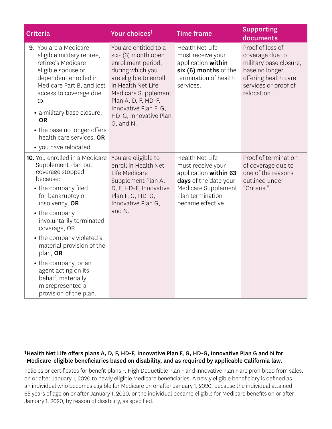| Criteria                                                                                                                                                                                                                                                                                                                                                                                                 | Your choices <sup>1</sup>                                                                                                                                                                                                                           | <b>Time frame</b>                                                                                                                                      | <b>Supporting</b><br>documents                                                                                                                 |
|----------------------------------------------------------------------------------------------------------------------------------------------------------------------------------------------------------------------------------------------------------------------------------------------------------------------------------------------------------------------------------------------------------|-----------------------------------------------------------------------------------------------------------------------------------------------------------------------------------------------------------------------------------------------------|--------------------------------------------------------------------------------------------------------------------------------------------------------|------------------------------------------------------------------------------------------------------------------------------------------------|
| 9. You are a Medicare-<br>eligible military retiree,<br>retiree's Medicare-<br>eligible spouse or<br>dependent enrolled in<br>Medicare Part B, and lost<br>access to coverage due<br>to:<br>• a military base closure,<br><b>OR</b><br>• the base no longer offers<br>health care services, OR<br>• you have relocated.                                                                                  | You are entitled to a<br>six- (6) month open<br>enrollment period,<br>during which you<br>are eligible to enroll<br>in Health Net Life<br>Medicare Supplement<br>Plan A, D, F, HD-F,<br>Innovative Plan F, G,<br>HD-G, Innovative Plan<br>G, and N. | Health Net Life<br>must receive your<br>application within<br>six (6) months of the<br>termination of health<br>services.                              | Proof of loss of<br>coverage due to<br>military base closure,<br>base no longer<br>offering health care<br>services or proof of<br>relocation. |
| 10. You enrolled in a Medicare<br>Supplement Plan but<br>coverage stopped<br>because:<br>• the company filed<br>for bankruptcy or<br>insolvency, OR<br>• the company<br>involuntarily terminated<br>coverage, OR<br>• the company violated a<br>material provision of the<br>plan, OR<br>• the company, or an<br>agent acting on its<br>behalf, materially<br>misrepresented a<br>provision of the plan. | You are eligible to<br>enroll in Health Net<br>Life Medicare<br>Supplement Plan A,<br>D, F, HD-F, Innovative<br>Plan F, G, HD-G,<br>Innovative Plan G,<br>and N.                                                                                    | Health Net Life<br>must receive your<br>application within 63<br>days of the date your<br>Medicare Supplement<br>Plan termination<br>became effective. | Proof of termination<br>of coverage due to<br>one of the reasons<br>outlined under<br>"Criteria."                                              |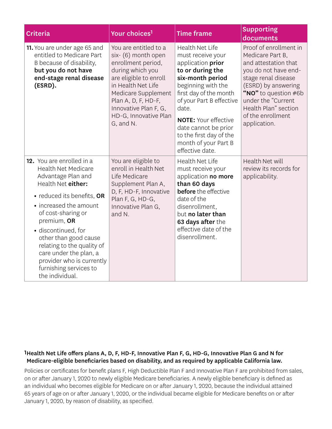| <b>Criteria</b>                                                                                                                                                                                                                                                                                                                                                                    | Your choices <sup>1</sup>                                                                                                                                                                                                                           | <b>Time frame</b>                                                                                                                                                                                                                                                                                                                 | <b>Supporting</b><br>documents                                                                                                                                                                                                                      |
|------------------------------------------------------------------------------------------------------------------------------------------------------------------------------------------------------------------------------------------------------------------------------------------------------------------------------------------------------------------------------------|-----------------------------------------------------------------------------------------------------------------------------------------------------------------------------------------------------------------------------------------------------|-----------------------------------------------------------------------------------------------------------------------------------------------------------------------------------------------------------------------------------------------------------------------------------------------------------------------------------|-----------------------------------------------------------------------------------------------------------------------------------------------------------------------------------------------------------------------------------------------------|
| 11. You are under age 65 and<br>entitled to Medicare Part<br>B because of disability,<br>but you do not have<br>end-stage renal disease<br>(ESRD).                                                                                                                                                                                                                                 | You are entitled to a<br>six- (6) month open<br>enrollment period,<br>during which you<br>are eligible to enroll<br>in Health Net Life<br>Medicare Supplement<br>Plan A, D, F, HD-F,<br>Innovative Plan F, G,<br>HD-G, Innovative Plan<br>G, and N. | <b>Health Net Life</b><br>must receive your<br>application <b>prior</b><br>to or during the<br>six-month period<br>beginning with the<br>first day of the month<br>of your Part B effective<br>date.<br><b>NOTE: Your effective</b><br>date cannot be prior<br>to the first day of the<br>month of your Part B<br>effective date. | Proof of enrollment in<br>Medicare Part B.<br>and attestation that<br>you do not have end-<br>stage renal disease<br>(ESRD) by answering<br>"NO" to question #6b<br>under the "Current<br>Health Plan" section<br>of the enrollment<br>application. |
| 12. You are enrolled in a<br><b>Health Net Medicare</b><br>Advantage Plan and<br>Health Net either:<br>• reduced its benefits, OR<br>• increased the amount<br>of cost-sharing or<br>premium, OR<br>· discontinued, for<br>other than good cause<br>relating to the quality of<br>care under the plan, a<br>provider who is currently<br>furnishing services to<br>the individual. | You are eligible to<br>enroll in Health Net<br>Life Medicare<br>Supplement Plan A,<br>D, F, HD-F, Innovative<br>Plan F, G, HD-G,<br>Innovative Plan G,<br>and N.                                                                                    | Health Net Life<br>must receive your<br>application no more<br>than 60 days<br><b>before</b> the effective<br>date of the<br>disenrollment,<br>but no later than<br>63 days after the<br>effective date of the<br>disenrollment.                                                                                                  | Health Net will<br>review its records for<br>applicability.                                                                                                                                                                                         |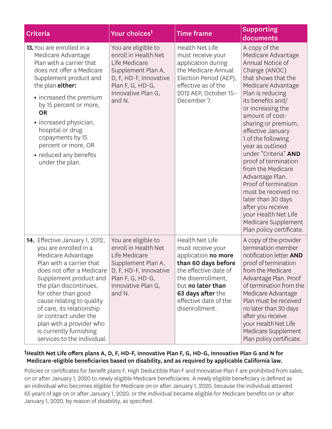| <b>Criteria</b>                                                                                                                                                                                                                                                                                                                                                                            | Your choices <sup>1</sup>                                                                                                                                        | <b>Time frame</b>                                                                                                                                                                                                             | <b>Supporting</b><br>documents                                                                                                                                                                                                                                                                                                                                                                                                                                                                                                                            |
|--------------------------------------------------------------------------------------------------------------------------------------------------------------------------------------------------------------------------------------------------------------------------------------------------------------------------------------------------------------------------------------------|------------------------------------------------------------------------------------------------------------------------------------------------------------------|-------------------------------------------------------------------------------------------------------------------------------------------------------------------------------------------------------------------------------|-----------------------------------------------------------------------------------------------------------------------------------------------------------------------------------------------------------------------------------------------------------------------------------------------------------------------------------------------------------------------------------------------------------------------------------------------------------------------------------------------------------------------------------------------------------|
| 13. You are enrolled in a<br>Medicare Advantage<br>Plan with a carrier that<br>does not offer a Medicare<br>Supplement product and<br>the plan either:<br>• increased the premium<br>by 15 percent or more,<br><b>OR</b><br>• increased physician,<br>hospital or drug<br>copayments by 15<br>percent or more, OR<br>• reduced any benefits<br>under the plan.                             | You are eligible to<br>enroll in Health Net<br>Life Medicare<br>Supplement Plan A,<br>D, F, HD-F, Innovative<br>Plan F, G, HD-G,<br>Innovative Plan G,<br>and N. | Health Net Life<br>must receive your<br>application during<br>the Medicare Annual<br>Election Period (AEP),<br>effective as of the<br>2012 AEP, October 15-<br>December 7.                                                    | A copy of the<br>Medicare Advantage<br>Annual Notice of<br>Change (ANOC)<br>that shows that the<br>Medicare Advantage<br>Plan is reducing<br>its benefits and/<br>or increasing the<br>amount of cost-<br>sharing or premium,<br>effective January<br>1 of the following<br>year as outlined<br>under "Criteria" AND<br>proof of termination<br>from the Medicare<br>Advantage Plan.<br>Proof of termination<br>must be received no<br>later than 30 days<br>after you receive<br>your Health Net Life<br>Medicare Supplement<br>Plan policy certificate. |
| 14. Effective January 1, 2012,<br>you are enrolled in a<br>Medicare Advantage<br>Plan with a carrier that<br>does not offer a Medicare<br>Supplement product and<br>the plan discontinues,<br>for other than good<br>cause relating to quality<br>of care, its relationship<br>or contract under the<br>plan with a provider who<br>is currently furnishing<br>services to the individual. | You are eligible to<br>enroll in Health Net<br>Life Medicare<br>Supplement Plan A,<br>D, F, HD-F, Innovative<br>Plan F, G, HD-G,<br>Innovative Plan G,<br>and N. | <b>Health Net Life</b><br>must receive your<br>application no more<br>than 60 days before<br>the effective date of<br>the disenrollment.<br>but no later than<br>63 days after the<br>effective date of the<br>disenrollment. | A copy of the provider<br>termination member<br>notification letter AND<br>proof of termination<br>from the Medicare<br>Advantage Plan. Proof<br>of termination from the<br>Medicare Advantage<br>Plan must be received<br>no later than 30 days<br>after you receive<br>your Health Net Life<br>Medicare Supplement<br>Plan policy certificate.                                                                                                                                                                                                          |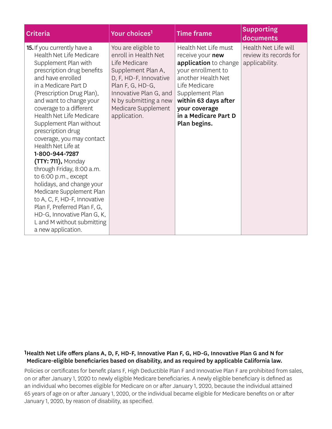| <b>Criteria</b>                                                                                                                                                                                                                                                                                                                                                                                                                                                                                                                                                                                                                                                                              | Your choices <sup>1</sup>                                                                                                                                                                                                  | <b>Time frame</b>                                                                                                                                                                                                                  | <b>Supporting</b><br>documents                                   |
|----------------------------------------------------------------------------------------------------------------------------------------------------------------------------------------------------------------------------------------------------------------------------------------------------------------------------------------------------------------------------------------------------------------------------------------------------------------------------------------------------------------------------------------------------------------------------------------------------------------------------------------------------------------------------------------------|----------------------------------------------------------------------------------------------------------------------------------------------------------------------------------------------------------------------------|------------------------------------------------------------------------------------------------------------------------------------------------------------------------------------------------------------------------------------|------------------------------------------------------------------|
| <b>15.</b> If you currently have a<br>Health Net Life Medicare<br>Supplement Plan with<br>prescription drug benefits<br>and have enrolled<br>in a Medicare Part D<br>(Prescription Drug Plan),<br>and want to change your<br>coverage to a different<br>Health Net Life Medicare<br>Supplement Plan without<br>prescription drug<br>coverage, you may contact<br>Health Net Life at<br>1-800-944-7287<br>(TTY: 711), Monday<br>through Friday, 8:00 a.m.<br>to 6:00 p.m., except<br>holidays, and change your<br>Medicare Supplement Plan<br>to A, C, F, HD-F, Innovative<br>Plan F, Preferred Plan F, G,<br>HD-G, Innovative Plan G, K,<br>L and M without submitting<br>a new application. | You are eligible to<br>enroll in Health Net<br>Life Medicare<br>Supplement Plan A,<br>D, F, HD-F, Innovative<br>Plan F, G, HD-G,<br>Innovative Plan G, and<br>N by submitting a new<br>Medicare Supplement<br>application. | Health Net Life must<br>receive your new<br>application to change<br>your enrollment to<br>another Health Net<br>Life Medicare<br>Supplement Plan<br>within 63 days after<br>your coverage<br>in a Medicare Part D<br>Plan begins. | Health Net Life will<br>review its records for<br>applicability. |